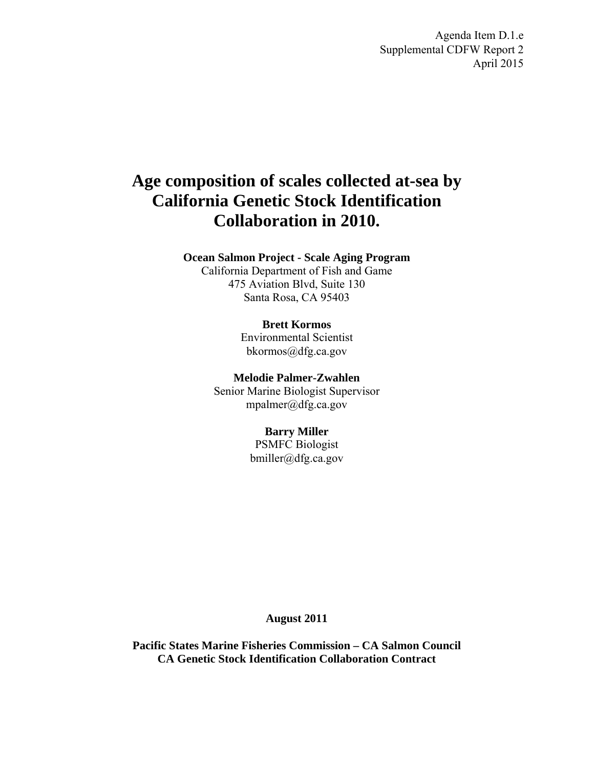Agenda Item D.1.e Supplemental CDFW Report 2 April 2015

# **Age composition of scales collected at-sea by California Genetic Stock Identification Collaboration in 2010.**

## **Ocean Salmon Project - Scale Aging Program**

California Department of Fish and Game 475 Aviation Blvd, Suite 130 Santa Rosa, CA 95403

#### **Brett Kormos**

Environmental Scientist bkormos@dfg.ca.gov

**Melodie Palmer-Zwahlen** 

Senior Marine Biologist Supervisor mpalmer@dfg.ca.gov

# **Barry Miller**

PSMFC Biologist bmiller@dfg.ca.gov

# **August 2011**

**Pacific States Marine Fisheries Commission – CA Salmon Council CA Genetic Stock Identification Collaboration Contract**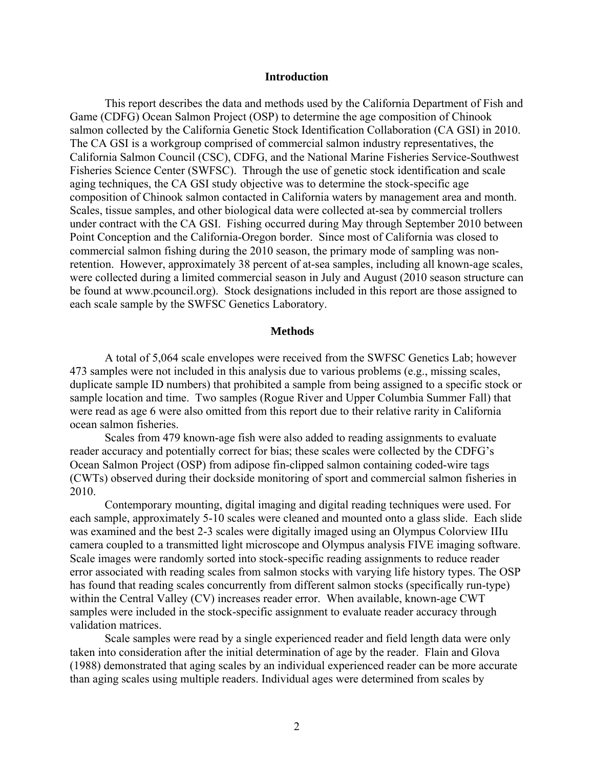#### **Introduction**

 This report describes the data and methods used by the California Department of Fish and Game (CDFG) Ocean Salmon Project (OSP) to determine the age composition of Chinook salmon collected by the California Genetic Stock Identification Collaboration (CA GSI) in 2010. The CA GSI is a workgroup comprised of commercial salmon industry representatives, the California Salmon Council (CSC), CDFG, and the National Marine Fisheries Service-Southwest Fisheries Science Center (SWFSC). Through the use of genetic stock identification and scale aging techniques, the CA GSI study objective was to determine the stock-specific age composition of Chinook salmon contacted in California waters by management area and month. Scales, tissue samples, and other biological data were collected at-sea by commercial trollers under contract with the CA GSI. Fishing occurred during May through September 2010 between Point Conception and the California-Oregon border. Since most of California was closed to commercial salmon fishing during the 2010 season, the primary mode of sampling was nonretention. However, approximately 38 percent of at-sea samples, including all known-age scales, were collected during a limited commercial season in July and August (2010 season structure can be found at www.pcouncil.org). Stock designations included in this report are those assigned to each scale sample by the SWFSC Genetics Laboratory.

#### **Methods**

A total of 5,064 scale envelopes were received from the SWFSC Genetics Lab; however 473 samples were not included in this analysis due to various problems (e.g., missing scales, duplicate sample ID numbers) that prohibited a sample from being assigned to a specific stock or sample location and time. Two samples (Rogue River and Upper Columbia Summer Fall) that were read as age 6 were also omitted from this report due to their relative rarity in California ocean salmon fisheries.

Scales from 479 known-age fish were also added to reading assignments to evaluate reader accuracy and potentially correct for bias; these scales were collected by the CDFG's Ocean Salmon Project (OSP) from adipose fin-clipped salmon containing coded-wire tags (CWTs) observed during their dockside monitoring of sport and commercial salmon fisheries in 2010.

Contemporary mounting, digital imaging and digital reading techniques were used. For each sample, approximately 5-10 scales were cleaned and mounted onto a glass slide. Each slide was examined and the best 2-3 scales were digitally imaged using an Olympus Colorview IIIu camera coupled to a transmitted light microscope and Olympus analysis FIVE imaging software. Scale images were randomly sorted into stock-specific reading assignments to reduce reader error associated with reading scales from salmon stocks with varying life history types. The OSP has found that reading scales concurrently from different salmon stocks (specifically run-type) within the Central Valley (CV) increases reader error. When available, known-age CWT samples were included in the stock-specific assignment to evaluate reader accuracy through validation matrices.

Scale samples were read by a single experienced reader and field length data were only taken into consideration after the initial determination of age by the reader. Flain and Glova (1988) demonstrated that aging scales by an individual experienced reader can be more accurate than aging scales using multiple readers. Individual ages were determined from scales by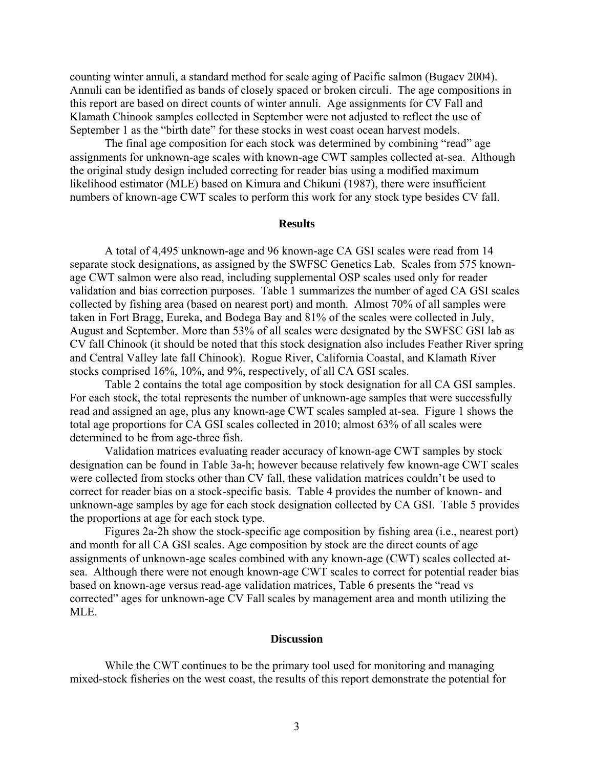counting winter annuli, a standard method for scale aging of Pacific salmon (Bugaev 2004). Annuli can be identified as bands of closely spaced or broken circuli. The age compositions in this report are based on direct counts of winter annuli. Age assignments for CV Fall and Klamath Chinook samples collected in September were not adjusted to reflect the use of September 1 as the "birth date" for these stocks in west coast ocean harvest models.

The final age composition for each stock was determined by combining "read" age assignments for unknown-age scales with known-age CWT samples collected at-sea. Although the original study design included correcting for reader bias using a modified maximum likelihood estimator (MLE) based on Kimura and Chikuni (1987), there were insufficient numbers of known-age CWT scales to perform this work for any stock type besides CV fall.

# **Results**

A total of 4,495 unknown-age and 96 known-age CA GSI scales were read from 14 separate stock designations, as assigned by the SWFSC Genetics Lab. Scales from 575 knownage CWT salmon were also read, including supplemental OSP scales used only for reader validation and bias correction purposes. Table 1 summarizes the number of aged CA GSI scales collected by fishing area (based on nearest port) and month. Almost 70% of all samples were taken in Fort Bragg, Eureka, and Bodega Bay and 81% of the scales were collected in July, August and September. More than 53% of all scales were designated by the SWFSC GSI lab as CV fall Chinook (it should be noted that this stock designation also includes Feather River spring and Central Valley late fall Chinook). Rogue River, California Coastal, and Klamath River stocks comprised 16%, 10%, and 9%, respectively, of all CA GSI scales.

Table 2 contains the total age composition by stock designation for all CA GSI samples. For each stock, the total represents the number of unknown-age samples that were successfully read and assigned an age, plus any known-age CWT scales sampled at-sea. Figure 1 shows the total age proportions for CA GSI scales collected in 2010; almost 63% of all scales were determined to be from age-three fish.

Validation matrices evaluating reader accuracy of known-age CWT samples by stock designation can be found in Table 3a-h; however because relatively few known-age CWT scales were collected from stocks other than CV fall, these validation matrices couldn't be used to correct for reader bias on a stock-specific basis. Table 4 provides the number of known- and unknown-age samples by age for each stock designation collected by CA GSI. Table 5 provides the proportions at age for each stock type.

Figures 2a-2h show the stock-specific age composition by fishing area (i.e., nearest port) and month for all CA GSI scales. Age composition by stock are the direct counts of age assignments of unknown-age scales combined with any known-age (CWT) scales collected atsea. Although there were not enough known-age CWT scales to correct for potential reader bias based on known-age versus read-age validation matrices, Table 6 presents the "read vs corrected" ages for unknown-age CV Fall scales by management area and month utilizing the MLE.

## **Discussion**

While the CWT continues to be the primary tool used for monitoring and managing mixed-stock fisheries on the west coast, the results of this report demonstrate the potential for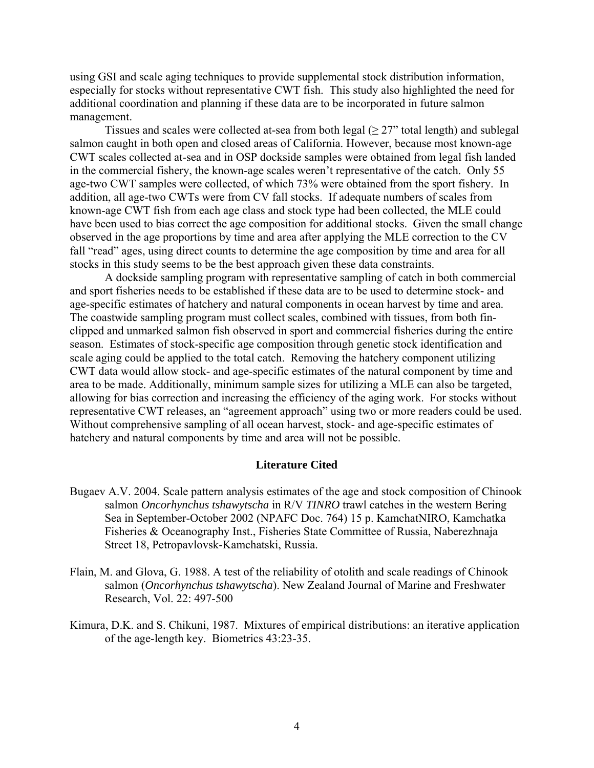using GSI and scale aging techniques to provide supplemental stock distribution information, especially for stocks without representative CWT fish. This study also highlighted the need for additional coordination and planning if these data are to be incorporated in future salmon management.

Tissues and scales were collected at-sea from both legal  $(≥ 27"$  total length) and sublegal salmon caught in both open and closed areas of California. However, because most known-age CWT scales collected at-sea and in OSP dockside samples were obtained from legal fish landed in the commercial fishery, the known-age scales weren't representative of the catch. Only 55 age-two CWT samples were collected, of which 73% were obtained from the sport fishery. In addition, all age-two CWTs were from CV fall stocks. If adequate numbers of scales from known-age CWT fish from each age class and stock type had been collected, the MLE could have been used to bias correct the age composition for additional stocks. Given the small change observed in the age proportions by time and area after applying the MLE correction to the CV fall "read" ages, using direct counts to determine the age composition by time and area for all stocks in this study seems to be the best approach given these data constraints.

A dockside sampling program with representative sampling of catch in both commercial and sport fisheries needs to be established if these data are to be used to determine stock- and age-specific estimates of hatchery and natural components in ocean harvest by time and area. The coastwide sampling program must collect scales, combined with tissues, from both finclipped and unmarked salmon fish observed in sport and commercial fisheries during the entire season. Estimates of stock-specific age composition through genetic stock identification and scale aging could be applied to the total catch. Removing the hatchery component utilizing CWT data would allow stock- and age-specific estimates of the natural component by time and area to be made. Additionally, minimum sample sizes for utilizing a MLE can also be targeted, allowing for bias correction and increasing the efficiency of the aging work. For stocks without representative CWT releases, an "agreement approach" using two or more readers could be used. Without comprehensive sampling of all ocean harvest, stock- and age-specific estimates of hatchery and natural components by time and area will not be possible.

# **Literature Cited**

- Bugaev A.V. 2004. Scale pattern analysis estimates of the age and stock composition of Chinook salmon *Oncorhynchus tshawytscha* in R/V *TINRO* trawl catches in the western Bering Sea in September-October 2002 (NPAFC Doc. 764) 15 p. KamchatNIRO, Kamchatka Fisheries & Oceanography Inst., Fisheries State Committee of Russia, Naberezhnaja Street 18, Petropavlovsk-Kamchatski, Russia.
- Flain, M. and Glova, G. 1988. A test of the reliability of otolith and scale readings of Chinook salmon (*Oncorhynchus tshawytscha*). New Zealand Journal of Marine and Freshwater Research, Vol. 22: 497-500
- Kimura, D.K. and S. Chikuni, 1987. Mixtures of empirical distributions: an iterative application of the age-length key. Biometrics 43:23-35.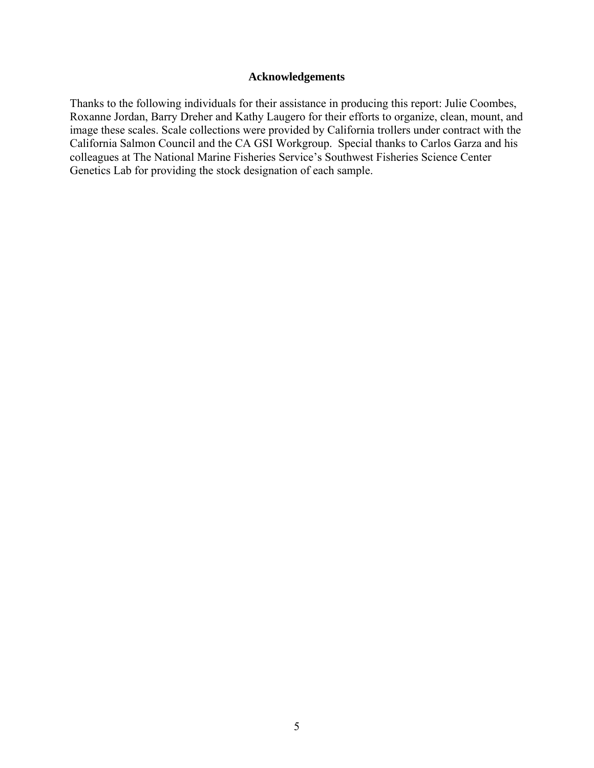# **Acknowledgements**

Thanks to the following individuals for their assistance in producing this report: Julie Coombes, Roxanne Jordan, Barry Dreher and Kathy Laugero for their efforts to organize, clean, mount, and image these scales. Scale collections were provided by California trollers under contract with the California Salmon Council and the CA GSI Workgroup. Special thanks to Carlos Garza and his colleagues at The National Marine Fisheries Service's Southwest Fisheries Science Center Genetics Lab for providing the stock designation of each sample.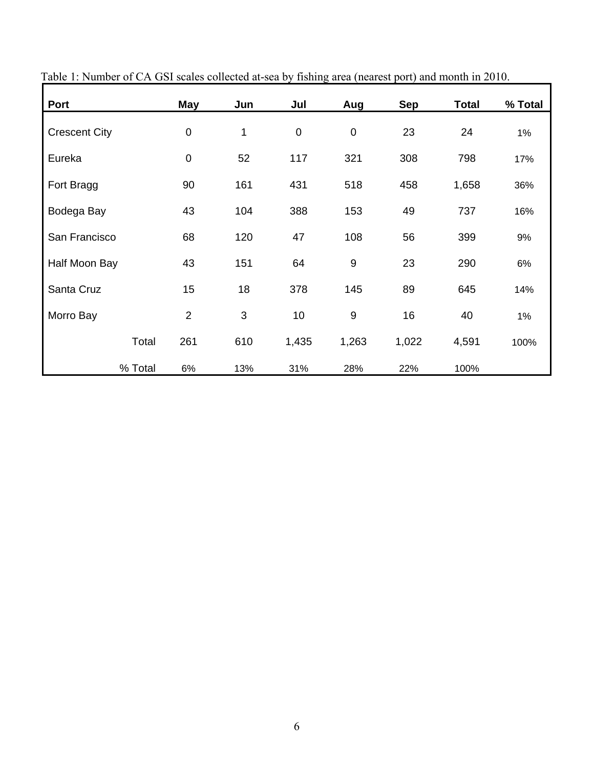| Port                 | May            | Jun            | Jul       | Aug       | <b>Sep</b> | <b>Total</b> | % Total |
|----------------------|----------------|----------------|-----------|-----------|------------|--------------|---------|
| <b>Crescent City</b> | $\pmb{0}$      | 1              | $\pmb{0}$ | $\pmb{0}$ | 23         | 24           | 1%      |
| Eureka               | $\mathbf 0$    | 52             | 117       | 321       | 308        | 798          | 17%     |
| Fort Bragg           | 90             | 161            | 431       | 518       | 458        | 1,658        | 36%     |
| Bodega Bay           | 43             | 104            | 388       | 153       | 49         | 737          | 16%     |
| San Francisco        | 68             | 120            | 47        | 108       | 56         | 399          | 9%      |
| Half Moon Bay        | 43             | 151            | 64        | 9         | 23         | 290          | 6%      |
| Santa Cruz           | 15             | 18             | 378       | 145       | 89         | 645          | 14%     |
| Morro Bay            | $\overline{2}$ | $\mathfrak{B}$ | 10        | 9         | 16         | 40           | 1%      |
| Total                | 261            | 610            | 1,435     | 1,263     | 1,022      | 4,591        | 100%    |
| % Total              | 6%             | 13%            | 31%       | 28%       | 22%        | 100%         |         |

Table 1: Number of CA GSI scales collected at-sea by fishing area (nearest port) and month in 2010.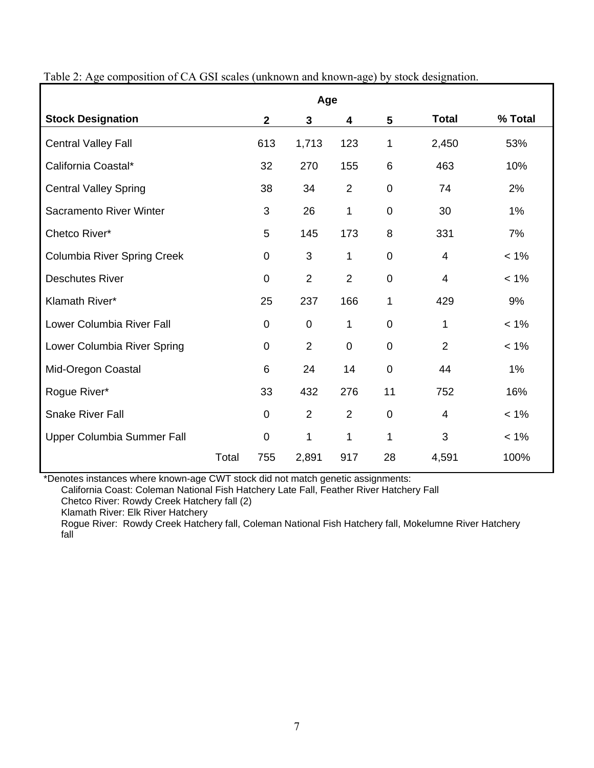|                                    | Age   |                |                |                |                |                |         |  |  |
|------------------------------------|-------|----------------|----------------|----------------|----------------|----------------|---------|--|--|
| <b>Stock Designation</b>           |       | $\overline{2}$ | $\mathbf{3}$   | 4              | 5              | <b>Total</b>   | % Total |  |  |
| <b>Central Valley Fall</b>         |       | 613            | 1,713          | 123            | 1              | 2,450          | 53%     |  |  |
| California Coastal*                |       | 32             | 270            | 155            | 6              | 463            | 10%     |  |  |
| <b>Central Valley Spring</b>       |       | 38             | 34             | $\overline{2}$ | $\overline{0}$ | 74             | 2%      |  |  |
| Sacramento River Winter            |       | 3              | 26             | 1              | $\mathbf 0$    | 30             | 1%      |  |  |
| Chetco River*                      |       | 5              | 145            | 173            | 8              | 331            | 7%      |  |  |
| <b>Columbia River Spring Creek</b> |       | $\mathbf 0$    | 3              | 1              | $\overline{0}$ | $\overline{4}$ | $< 1\%$ |  |  |
| <b>Deschutes River</b>             |       | $\mathbf 0$    | $\overline{2}$ | $\overline{2}$ | $\mathbf 0$    | 4              | $< 1\%$ |  |  |
| Klamath River*                     |       | 25             | 237            | 166            | $\mathbf{1}$   | 429            | 9%      |  |  |
| Lower Columbia River Fall          |       | $\mathbf 0$    | $\mathbf 0$    | 1              | $\overline{0}$ | 1              | $< 1\%$ |  |  |
| Lower Columbia River Spring        |       | $\Omega$       | 2              | $\mathbf{0}$   | $\overline{0}$ | $\overline{2}$ | $< 1\%$ |  |  |
| Mid-Oregon Coastal                 |       | 6              | 24             | 14             | $\overline{0}$ | 44             | 1%      |  |  |
| Rogue River*                       |       | 33             | 432            | 276            | 11             | 752            | 16%     |  |  |
| <b>Snake River Fall</b>            |       | $\mathbf 0$    | $\overline{2}$ | $\overline{2}$ | $\mathbf 0$    | 4              | $< 1\%$ |  |  |
| Upper Columbia Summer Fall         |       | $\Omega$       | 1              | 1              | 1              | 3              | $< 1\%$ |  |  |
|                                    | Total | 755            | 2,891          | 917            | 28             | 4,591          | 100%    |  |  |

Table 2: Age composition of CA GSI scales (unknown and known-age) by stock designation.

\*Denotes instances where known-age CWT stock did not match genetic assignments:

California Coast: Coleman National Fish Hatchery Late Fall, Feather River Hatchery Fall

Chetco River: Rowdy Creek Hatchery fall (2)

Klamath River: Elk River Hatchery

Rogue River: Rowdy Creek Hatchery fall, Coleman National Fish Hatchery fall, Mokelumne River Hatchery fall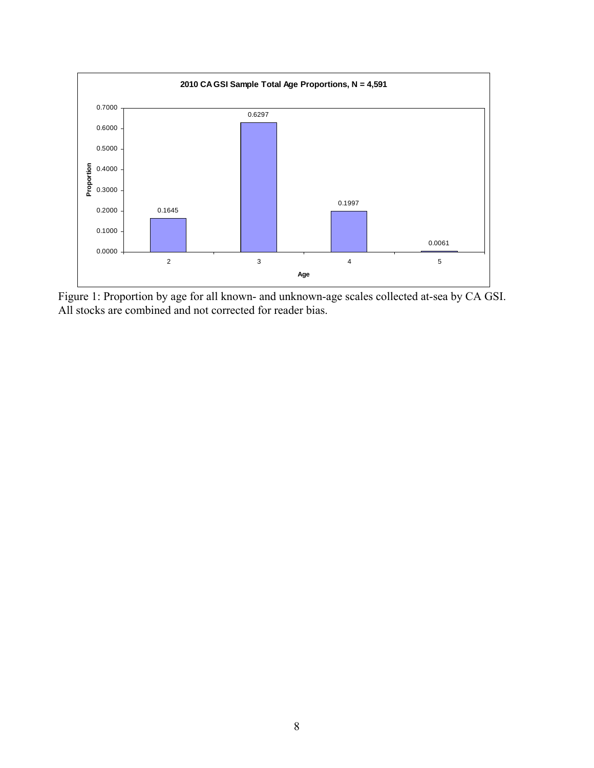

Figure 1: Proportion by age for all known- and unknown-age scales collected at-sea by CA GSI. All stocks are combined and not corrected for reader bias.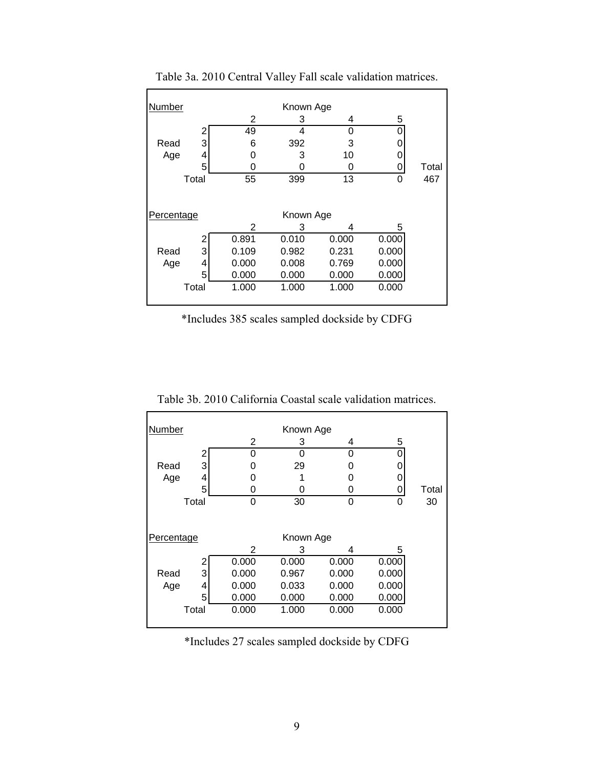| Number                  |       | Known Age |       |       |       |       |       |  |
|-------------------------|-------|-----------|-------|-------|-------|-------|-------|--|
|                         |       |           | 2     | З     | 4     | 5     |       |  |
|                         |       | 2         | 49    | 4     | O     |       |       |  |
| Read                    |       | 3         | 6     | 392   | 3     |       |       |  |
|                         | Age   | 4         | 0     | 3     | 10    |       |       |  |
|                         |       | 5         | Ω     | ი     | 0     |       | Total |  |
| Total                   |       | 55        | 399   | 13    | 0     | 467   |       |  |
| Percentage<br>Known Age |       |           |       |       |       |       |       |  |
|                         |       |           |       |       |       |       |       |  |
|                         |       |           | 2     | З     | 4     | 5     |       |  |
|                         |       | 2         | 0.891 | 0.010 | 0.000 | 0.000 |       |  |
| Read                    |       | 3         | 0.109 | 0.982 | 0.231 | 0.000 |       |  |
|                         | Age   | 4         | 0.000 | 0.008 | 0.769 | 0.000 |       |  |
|                         |       | 5         | 0.000 | 0.000 | 0.000 | 0.000 |       |  |
|                         | Total |           | 1.000 | 1.000 | 1.000 | 0.000 |       |  |
|                         |       |           |       |       |       |       |       |  |

Table 3a. 2010 Central Valley Fall scale validation matrices.

\*Includes 385 scales sampled dockside by CDFG

Table 3b. 2010 California Coastal scale validation matrices.

| Number     |   |       | Known Age |       |       |       |
|------------|---|-------|-----------|-------|-------|-------|
|            |   | 2     | 3         | 4     | 5     |       |
|            | 2 | 0     | O         | 0     | Ω     |       |
| Read       | 3 | O     | 29        | O     |       |       |
| Age        | 4 | O     |           | O     |       |       |
|            | 5 | 0     | O         | 0     |       | Total |
| Total      |   | 0     | 30        | 0     | 0     | 30    |
| Percentage |   |       | Known Age |       |       |       |
|            |   | 2     | З         | 4     | 5     |       |
|            | 2 | 0.000 | 0.000     | 0.000 | 0.000 |       |
| Read       | 3 | 0.000 | 0.967     | 0.000 | 0.000 |       |
| Age        | 4 | 0.000 | 0.033     | 0.000 | 0.000 |       |
|            | 5 | 0.000 | 0.000     | 0.000 | 0.000 |       |
| Total      |   | 0.000 | 1.000     | 0.000 | 0.000 |       |

\*Includes 27 scales sampled dockside by CDFG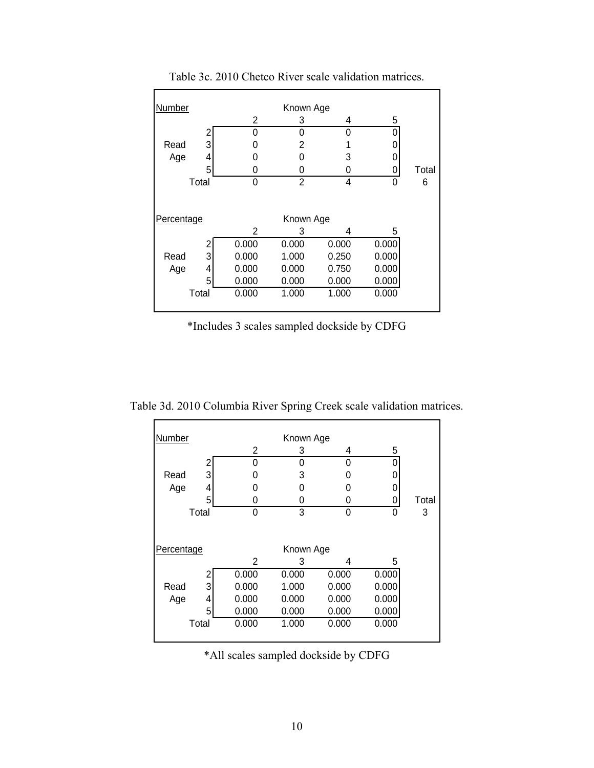| Number                  |       | Known Age |       |       |       |       |  |  |  |
|-------------------------|-------|-----------|-------|-------|-------|-------|--|--|--|
|                         |       | 2         | 3     | 4     | 5     |       |  |  |  |
|                         | 2     | 0         | 0     | 0     |       |       |  |  |  |
| Read                    | 3     | 0         | 2     |       |       |       |  |  |  |
| Age                     | 4     | 0         | U     | 3     |       |       |  |  |  |
|                         | 5     | 0         | 0     | 0     | 0     | Total |  |  |  |
| Total                   |       | 0         | 2     | 4     | 0     | 6     |  |  |  |
| Percentage<br>Known Age |       |           |       |       |       |       |  |  |  |
|                         |       | 2         | 3     | 4     | 5     |       |  |  |  |
|                         | 2     | 0.000     | 0.000 | 0.000 | 0.000 |       |  |  |  |
| Read                    | 3     |           | 1.000 | 0.250 | 0.000 |       |  |  |  |
|                         |       | 0.000     |       |       |       |       |  |  |  |
| Age                     | 4     | 0.000     | 0.000 | 0.750 | 0.000 |       |  |  |  |
|                         | 5     | 0.000     | 0.000 | 0.000 | 0.000 |       |  |  |  |
|                         | Total | 0.000     | 1.000 | 1.000 | 0.000 |       |  |  |  |
|                         |       |           |       |       |       |       |  |  |  |

Table 3c. 2010 Chetco River scale validation matrices.

\*Includes 3 scales sampled dockside by CDFG

Table 3d. 2010 Columbia River Spring Creek scale validation matrices.

| Number     |       |       | Known Age |       |       |       |
|------------|-------|-------|-----------|-------|-------|-------|
|            |       | 2     | 3         | 4     | 5     |       |
|            | 2     | 0     | 0         | 0     |       |       |
| Read       | 3     | 0     | 3         | O     |       |       |
| Age        | 4     | 0     | O         | O     |       |       |
|            | 5     | 0     | 0         | 0     |       | Total |
| Total      |       | 0     | 3         | 0     | 0     | 3     |
|            |       |       |           |       |       |       |
| Percentage |       |       | Known Age |       |       |       |
|            |       | 2     | 3         | 4     | 5     |       |
|            | 2     | 0.000 | 0.000     | 0.000 | 0.000 |       |
| Read       | 3     | 0.000 | 1.000     | 0.000 | 0.000 |       |
| Age        | 4     | 0.000 | 0.000     | 0.000 | 0.000 |       |
|            | 5     | 0.000 | 0.000     | 0.000 | 0.000 |       |
|            | Total | 0.000 | 1.000     | 0.000 | 0.000 |       |
|            |       |       |           |       |       |       |

\*All scales sampled dockside by CDFG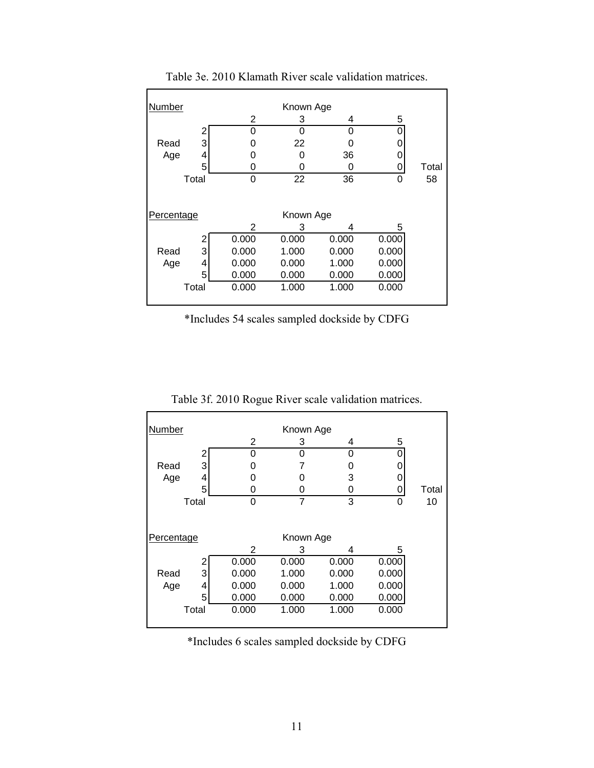| Number     |       | Known Age |           |       |       |       |  |  |  |
|------------|-------|-----------|-----------|-------|-------|-------|--|--|--|
|            |       | 2         | 3         | 4     | 5     |       |  |  |  |
|            | 2     | 0         | 0         | U     |       |       |  |  |  |
| Read       | 3     | 0         | 22        |       |       |       |  |  |  |
| Age        | 4     | Ω         | O         | 36    |       |       |  |  |  |
|            | 5     | 0         | ი         | Ω     |       | Total |  |  |  |
| Total      |       | 0         | 22        | 36    | 0     | 58    |  |  |  |
| Percentage |       |           | Known Age |       |       |       |  |  |  |
|            |       | 2         | 3         | 4     | 5     |       |  |  |  |
|            | 2     | 0.000     | 0.000     | 0.000 | 0.000 |       |  |  |  |
| Read       | 3     | 0.000     | 1.000     | 0.000 | 0.000 |       |  |  |  |
| Age        | 4     | 0.000     | 0.000     | 1.000 | 0.000 |       |  |  |  |
|            | 5     | 0.000     | 0.000     | 0.000 | 0.000 |       |  |  |  |
|            | Total | 0.000     | 1.000     | 1.000 | 0.000 |       |  |  |  |
|            |       |           |           |       |       |       |  |  |  |

Table 3e. 2010 Klamath River scale validation matrices.

\*Includes 54 scales sampled dockside by CDFG

| Number     |   |       | Known Age |       |       |       |
|------------|---|-------|-----------|-------|-------|-------|
|            |   | 2     | 3         | 4     | 5     |       |
|            | 2 | 0     | 0         | 0     | 0     |       |
| Read       | 3 | 0     |           | 0     |       |       |
| Age        | 4 | 0     | 0         | 3     |       |       |
|            | 5 | Ω     | O         | O     |       | Total |
| Total      |   | O     | 7         | 3     | O     | 10    |
| Percentage |   |       | Known Age |       |       |       |
|            |   | 2     | 3         | 4     | 5     |       |
|            | 2 | 0.000 | 0.000     | 0.000 | 0.000 |       |
| Read       | 3 | 0.000 | 1.000     | 0.000 | 0.000 |       |
| Age        | 4 | 0.000 | 0.000     | 1.000 | 0.000 |       |
|            | 5 | 0.000 | 0.000     | 0.000 | 0.000 |       |
| Total      |   | 0.000 | 1.000     | 1.000 | 0.000 |       |

Table 3f. 2010 Rogue River scale validation matrices.

\*Includes 6 scales sampled dockside by CDFG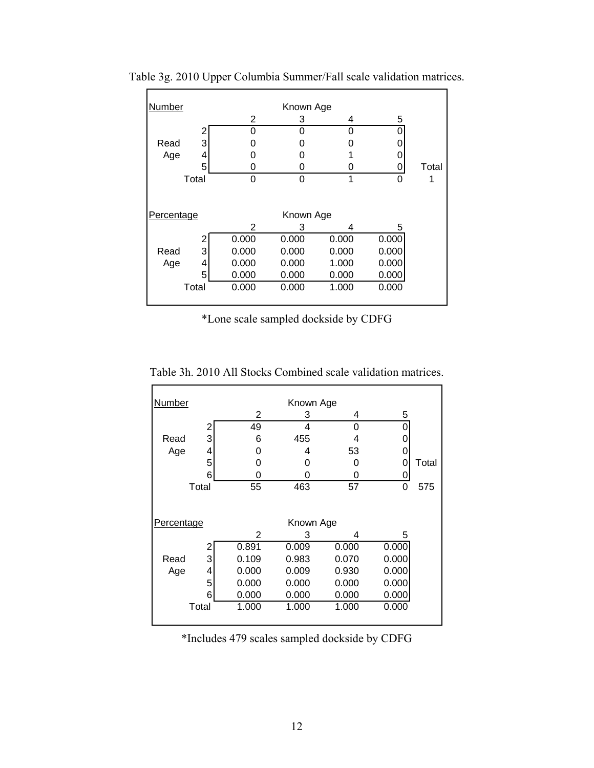| Number     |       |       | Known Age |       |       |       |
|------------|-------|-------|-----------|-------|-------|-------|
|            |       | 2     | З         | 4     | 5     |       |
|            | 2     | 0     | 0         | ∩     | 0     |       |
| Read       | 3     | ი     | 0         |       | 0     |       |
| Age        | 4     | O     | O         |       |       |       |
|            | 5     | 0     | 0         | 0     |       | Total |
| Total      |       | 0     | 0         | 1     | O     |       |
|            |       |       |           |       |       |       |
|            |       |       |           |       |       |       |
| Percentage |       |       | Known Age |       |       |       |
|            |       | 2     | 3         | 4     | 5     |       |
|            | 2     | 0.000 | 0.000     | 0.000 | 0.000 |       |
| Read       | 3     | 0.000 | 0.000     | 0.000 | 0.000 |       |
| Age        | 4     | 0.000 | 0.000     | 1.000 | 0.000 |       |
|            | 5     | 0.000 | 0.000     | 0.000 | 0.000 |       |
|            | Total | 0.000 | 0.000     | 1.000 | 0.000 |       |
|            |       |       |           |       |       |       |

Table 3g. 2010 Upper Columbia Summer/Fall scale validation matrices.

\*Lone scale sampled dockside by CDFG

Table 3h. 2010 All Stocks Combined scale validation matrices.

| Number     |       |       | Known Age |       |       |       |
|------------|-------|-------|-----------|-------|-------|-------|
|            |       | 2     | 3         | 4     | 5     |       |
|            | 2     | 49    | 4         | 0     | ი     |       |
| Read       | 3     | 6     | 455       | 4     | 0     |       |
| Age        | 4     | 0     | 4         | 53    | 0     |       |
|            | 5     | 0     | ი         | O     | 0     | Total |
|            | 6     | 0     | ი         | 0     | 0     |       |
|            | Total | 55    | 463       | 57    | 0     | 575   |
|            |       |       |           |       |       |       |
| Percentage |       |       | Known Age |       |       |       |
|            |       | 2     | 3         | 4     | 5     |       |
|            | 2     | 0.891 | 0.009     | 0.000 | 0.000 |       |
| Read       | 3     | 0.109 | 0.983     | 0.070 | 0.000 |       |
| Age        | 4     | 0.000 | 0.009     | 0.930 | 0.000 |       |
|            | 5     | 0.000 | 0.000     | 0.000 | 0.000 |       |
|            | 6     | 0.000 | 0.000     | 0.000 | 0.000 |       |
|            | Total | 1.000 | 1.000     | 1.000 | 0.000 |       |
|            |       |       |           |       |       |       |

\*Includes 479 scales sampled dockside by CDFG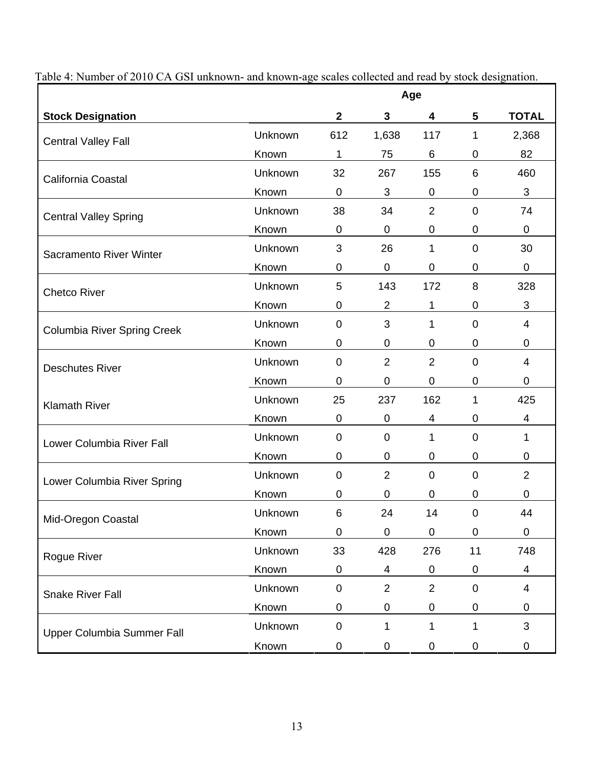|                                    |         | Age          |                |                 |                |                  |
|------------------------------------|---------|--------------|----------------|-----------------|----------------|------------------|
| <b>Stock Designation</b>           |         | $\mathbf{2}$ | $\mathbf{3}$   | 4               | 5              | <b>TOTAL</b>     |
| <b>Central Valley Fall</b>         | Unknown | 612          | 1,638          | 117             | 1              | 2,368            |
|                                    | Known   | 1            | 75             | $6\phantom{1}6$ | 0              | 82               |
| California Coastal                 | Unknown | 32           | 267            | 155             | 6              | 460              |
|                                    | Known   | $\mathbf 0$  | 3              | 0               | 0              | 3                |
| <b>Central Valley Spring</b>       | Unknown | 38           | 34             | $\overline{2}$  | $\Omega$       | 74               |
|                                    | Known   | $\mathbf 0$  | $\mathbf 0$    | $\mathbf 0$     | 0              | $\mathbf 0$      |
| Sacramento River Winter            | Unknown | 3            | 26             | 1               | $\mathbf 0$    | 30               |
|                                    | Known   | $\mathbf 0$  | $\mathbf 0$    | 0               | 0              | 0                |
| <b>Chetco River</b>                | Unknown | 5            | 143            | 172             | 8              | 328              |
|                                    | Known   | $\mathbf 0$  | $\overline{2}$ | 1               | 0              | 3                |
| <b>Columbia River Spring Creek</b> | Unknown | $\mathbf 0$  | 3              | 1               | 0              | 4                |
|                                    | Known   | $\mathbf 0$  | $\mathbf 0$    | $\mathbf 0$     | 0              | 0                |
| <b>Deschutes River</b>             | Unknown | $\mathbf 0$  | $\overline{2}$ | $\overline{2}$  | $\overline{0}$ | 4                |
|                                    | Known   | 0            | 0              | 0               | 0              | $\mathbf 0$      |
| <b>Klamath River</b>               | Unknown | 25           | 237            | 162             | 1              | 425              |
|                                    | Known   | $\mathbf 0$  | 0              | 4               | 0              | 4                |
| Lower Columbia River Fall          | Unknown | $\mathbf 0$  | $\mathbf 0$    | 1               | 0              | 1                |
|                                    | Known   | $\mathbf 0$  | $\mathbf 0$    | $\mathbf 0$     | 0              | $\boldsymbol{0}$ |
| Lower Columbia River Spring        | Unknown | $\mathbf 0$  | $\overline{2}$ | $\overline{0}$  | $\mathbf 0$    | $\overline{2}$   |
|                                    | Known   | $\mathbf 0$  | $\mathbf 0$    | $\mathbf 0$     | 0              | 0                |
| Mid-Oregon Coastal                 | Unknown | 6            | 24             | 14              | 0              | 44               |
|                                    | Known   | $\mathbf 0$  | $\mathbf 0$    | $\mathbf 0$     | 0              | $\boldsymbol{0}$ |
| Rogue River                        | Unknown | 33           | 428            | 276             | 11             | 748              |
|                                    | Known   | $\pmb{0}$    | 4              | $\mathbf 0$     | 0              | 4                |
| <b>Snake River Fall</b>            | Unknown | $\pmb{0}$    | $\overline{2}$ | $\overline{2}$  | $\mathbf 0$    | $\overline{4}$   |
|                                    | Known   | 0            | $\pmb{0}$      | $\mathbf 0$     | 0              | 0                |
| Upper Columbia Summer Fall         | Unknown | $\pmb{0}$    | 1              | 1               | 1              | 3                |
|                                    | Known   | 0            | $\pmb{0}$      | $\pmb{0}$       | 0              | $\pmb{0}$        |

Table 4: Number of 2010 CA GSI unknown- and known-age scales collected and read by stock designation.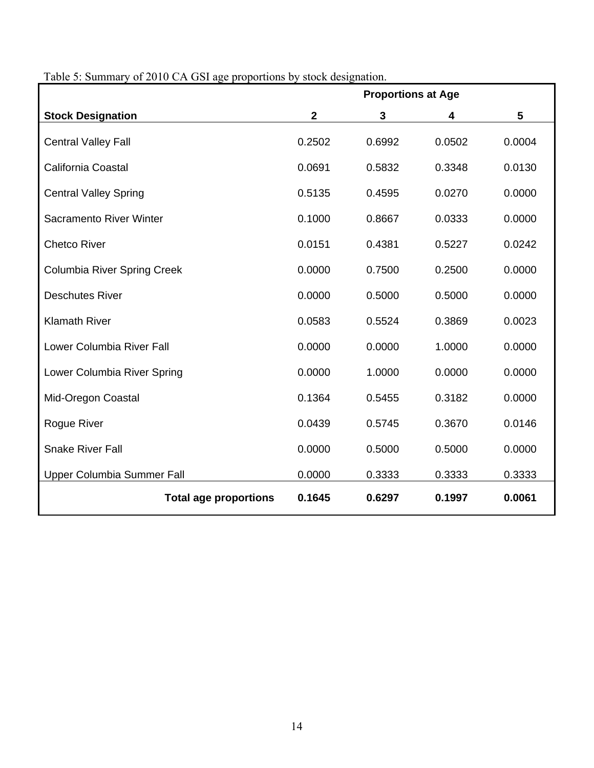|                                    | <b>Proportions at Age</b> |        |        |        |  |  |  |
|------------------------------------|---------------------------|--------|--------|--------|--|--|--|
| <b>Stock Designation</b>           | $\mathbf{2}$              | 3      | 4      | 5      |  |  |  |
| <b>Central Valley Fall</b>         | 0.2502                    | 0.6992 | 0.0502 | 0.0004 |  |  |  |
| California Coastal                 | 0.0691                    | 0.5832 | 0.3348 | 0.0130 |  |  |  |
| <b>Central Valley Spring</b>       | 0.5135                    | 0.4595 | 0.0270 | 0.0000 |  |  |  |
| Sacramento River Winter            | 0.1000                    | 0.8667 | 0.0333 | 0.0000 |  |  |  |
| <b>Chetco River</b>                | 0.0151                    | 0.4381 | 0.5227 | 0.0242 |  |  |  |
| <b>Columbia River Spring Creek</b> | 0.0000                    | 0.7500 | 0.2500 | 0.0000 |  |  |  |
| <b>Deschutes River</b>             | 0.0000                    | 0.5000 | 0.5000 | 0.0000 |  |  |  |
| <b>Klamath River</b>               | 0.0583                    | 0.5524 | 0.3869 | 0.0023 |  |  |  |
| Lower Columbia River Fall          | 0.0000                    | 0.0000 | 1.0000 | 0.0000 |  |  |  |
| Lower Columbia River Spring        | 0.0000                    | 1.0000 | 0.0000 | 0.0000 |  |  |  |
| Mid-Oregon Coastal                 | 0.1364                    | 0.5455 | 0.3182 | 0.0000 |  |  |  |
| Rogue River                        | 0.0439                    | 0.5745 | 0.3670 | 0.0146 |  |  |  |
| <b>Snake River Fall</b>            | 0.0000                    | 0.5000 | 0.5000 | 0.0000 |  |  |  |
| Upper Columbia Summer Fall         | 0.0000                    | 0.3333 | 0.3333 | 0.3333 |  |  |  |
| <b>Total age proportions</b>       | 0.1645                    | 0.6297 | 0.1997 | 0.0061 |  |  |  |

# Table 5: Summary of 2010 CA GSI age proportions by stock designation.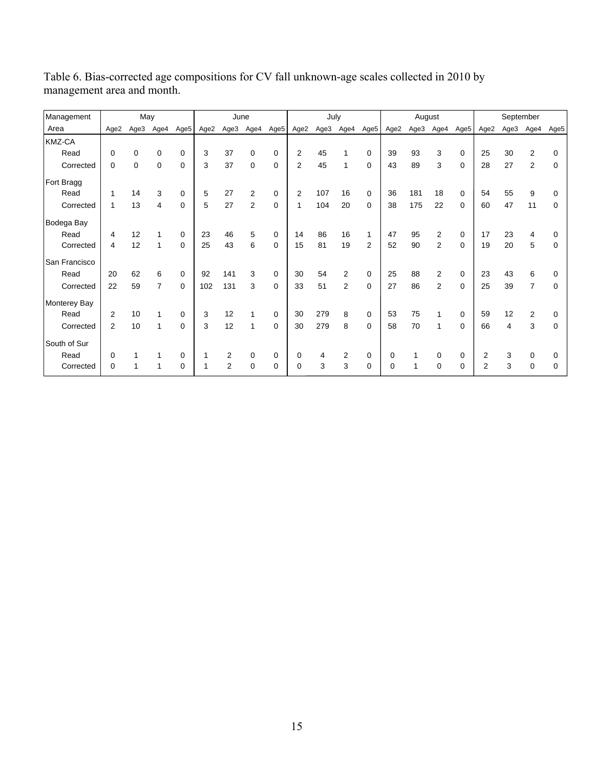| Management    | May            |      |                |          | June |                |                |                  | July           |      |                |             | August |      |                |                  | September      |                |                |          |
|---------------|----------------|------|----------------|----------|------|----------------|----------------|------------------|----------------|------|----------------|-------------|--------|------|----------------|------------------|----------------|----------------|----------------|----------|
| Area          | Age2           | Age3 | Age4           | Age5     | Age2 | Age3           | Age4           | Age <sub>5</sub> | Age2           | Age3 | Age4           | Age5        | Age2   | Age3 | Age4           | Age <sub>5</sub> | Age2           | Age3           | Age4           | Age5     |
| <b>KMZ-CA</b> |                |      |                |          |      |                |                |                  |                |      |                |             |        |      |                |                  |                |                |                |          |
| Read          | 0              | 0    | 0              | 0        | 3    | 37             | $\Omega$       | 0                | $\overline{2}$ | 45   |                | 0           | 39     | 93   | 3              | $\mathbf 0$      | 25             | 30             | 2              | O        |
| Corrected     | 0              | 0    | 0              | 0        | 3    | 37             | 0              | 0                | $\overline{2}$ | 45   |                | $\mathbf 0$ | 43     | 89   | 3              | $\mathbf 0$      | 28             | 27             | 2              | 0        |
| Fort Bragg    |                |      |                |          |      |                |                |                  |                |      |                |             |        |      |                |                  |                |                |                |          |
| Read          |                | 14   | 3              | 0        | 5    | 27             | 2              | 0                | $\overline{2}$ | 107  | 16             | 0           | 36     | 181  | 18             | $\mathbf 0$      | 54             | 55             | 9              | 0        |
| Corrected     | 1              | 13   | 4              | 0        | 5    | 27             | $\overline{2}$ | $\Omega$         | 1              | 104  | 20             | 0           | 38     | 175  | 22             | $\Omega$         | 60             | 47             | 11             | 0        |
| Bodega Bay    |                |      |                |          |      |                |                |                  |                |      |                |             |        |      |                |                  |                |                |                |          |
| Read          | 4              | 12   |                | 0        | 23   | 46             | 5              | 0                | 14             | 86   | 16             | 1           | 47     | 95   | 2              | $\mathbf 0$      | 17             | 23             | 4              |          |
| Corrected     | 4              | 12   | 1              | $\Omega$ | 25   | 43             | 6              | $\Omega$         | 15             | 81   | 19             | 2           | 52     | 90   | $\overline{2}$ | $\Omega$         | 19             | 20             | 5              | 0        |
| San Francisco |                |      |                |          |      |                |                |                  |                |      |                |             |        |      |                |                  |                |                |                |          |
| Read          | 20             | 62   | 6              | $\Omega$ | 92   | 141            | 3              | $\Omega$         | 30             | 54   | 2              | $\Omega$    | 25     | 88   | $\overline{2}$ | $\mathbf 0$      | 23             | 43             | 6              |          |
| Corrected     | 22             | 59   | $\overline{7}$ | 0        | 102  | 131            | 3              | $\Omega$         | 33             | 51   | $\overline{2}$ | $\mathbf 0$ | 27     | 86   | $\overline{2}$ | $\Omega$         | 25             | 39             | $\overline{7}$ | 0        |
| Monterey Bay  |                |      |                |          |      |                |                |                  |                |      |                |             |        |      |                |                  |                |                |                |          |
| Read          | 2              | 10   |                | 0        | 3    | 12             |                | 0                | 30             | 279  | 8              | 0           | 53     | 75   | 1              | $\mathbf 0$      | 59             | 12             | 2              | $\Omega$ |
| Corrected     | $\overline{2}$ | 10   | 1              | $\Omega$ | 3    | 12             |                | $\Omega$         | 30             | 279  | 8              | $\Omega$    | 58     | 70   | 1              | $\Omega$         | 66             | $\overline{4}$ | 3              | 0        |
| South of Sur  |                |      |                |          |      |                |                |                  |                |      |                |             |        |      |                |                  |                |                |                |          |
| Read          | 0              |      |                | 0        |      | 2              | 0              | 0                | $\mathbf 0$    | 4    | 2              | 0           | 0      |      | 0              | 0                | 2              | 3              | 0              | 0        |
| Corrected     | 0              |      |                | $\Omega$ |      | $\overline{2}$ | $\Omega$       | $\Omega$         | $\Omega$       | 3    | 3              | $\Omega$    | U      |      | $\mathbf{0}$   | $\mathbf 0$      | $\overline{2}$ | 3              | $\Omega$       |          |

Table 6. Bias-corrected age compositions for CV fall unknown-age scales collected in 2010 by management area and month.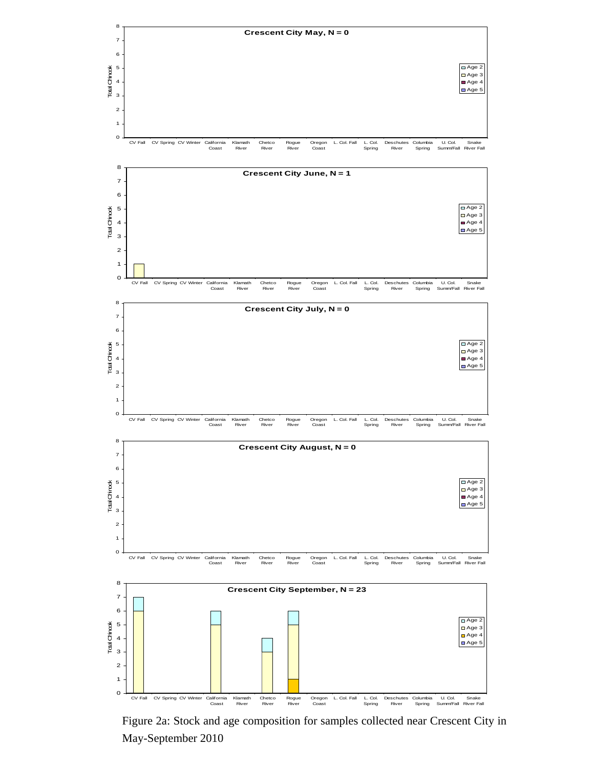

Figure 2a: Stock and age composition for samples collected near Crescent City in May-September 2010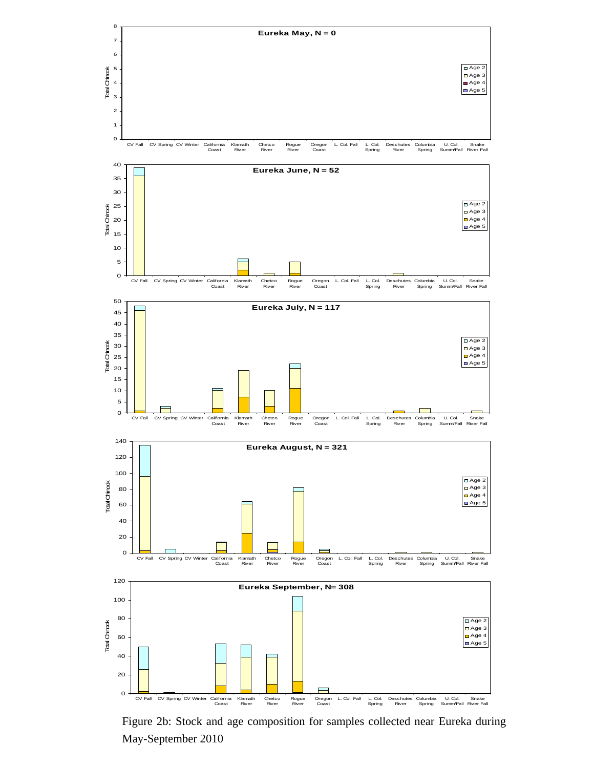

Figure 2b: Stock and age composition for samples collected near Eureka during May-September 2010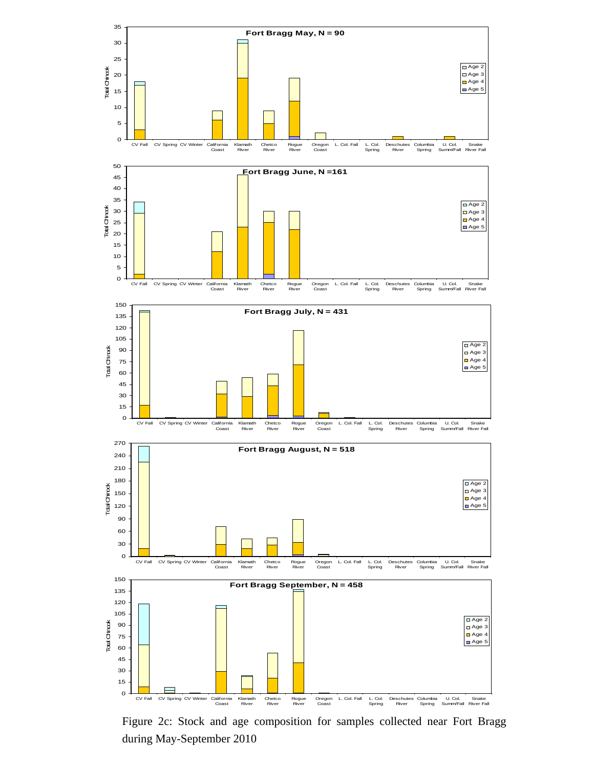

Figure 2c: Stock and age composition for samples collected near Fort Bragg during May-September 2010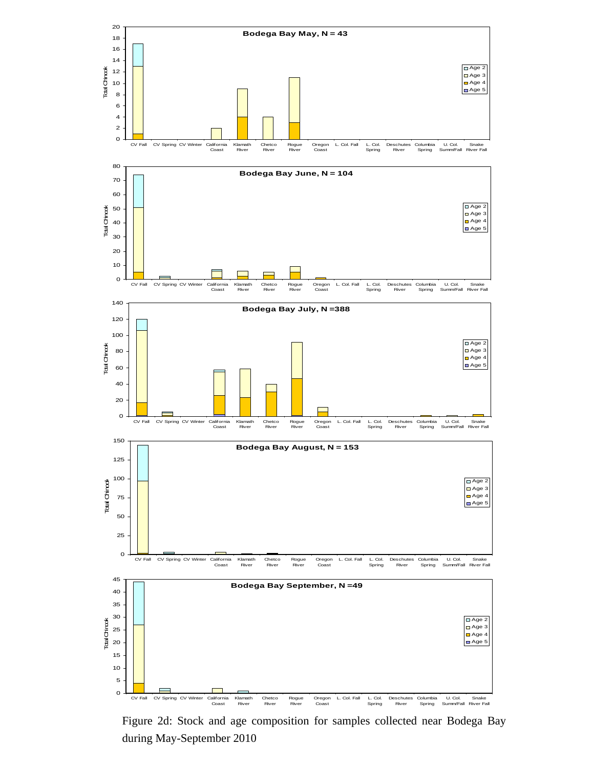

Figure 2d: Stock and age composition for samples collected near Bodega Bay during May-September 2010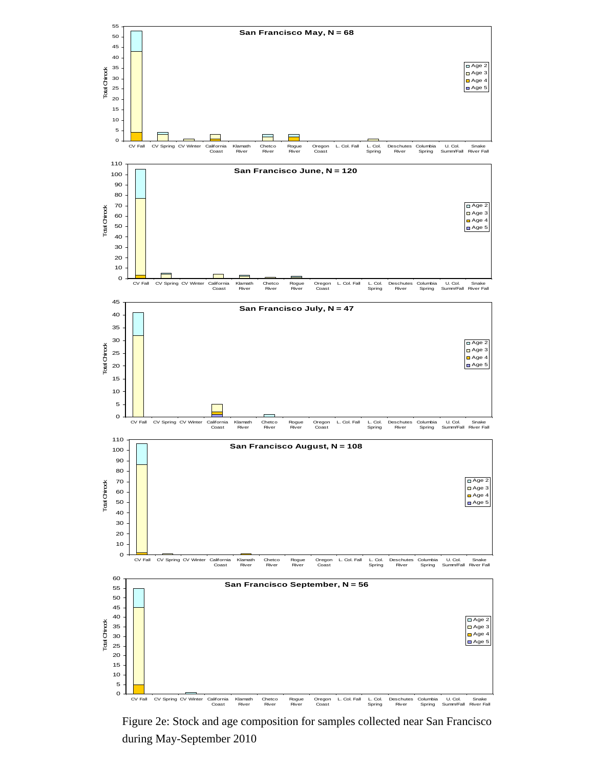

Figure 2e: Stock and age composition for samples collected near San Francisco during May-September 2010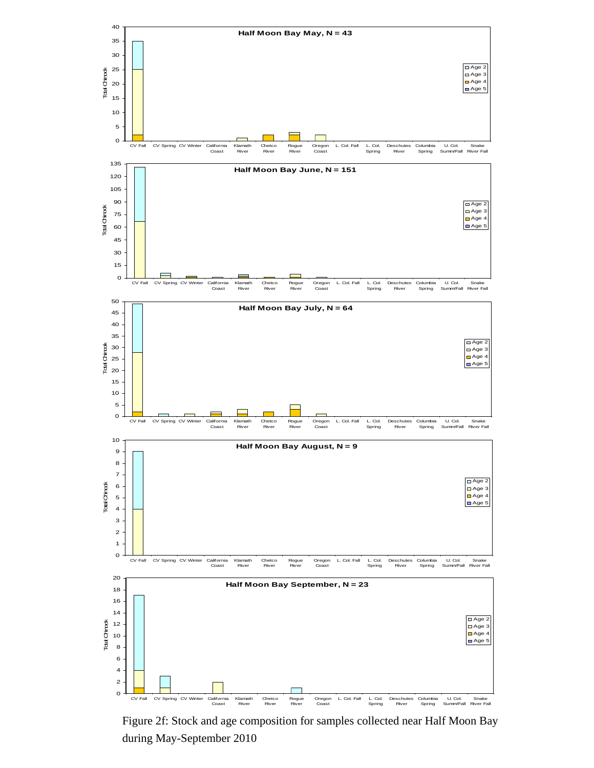

Figure 2f: Stock and age composition for samples collected near Half Moon Bay during May-September 2010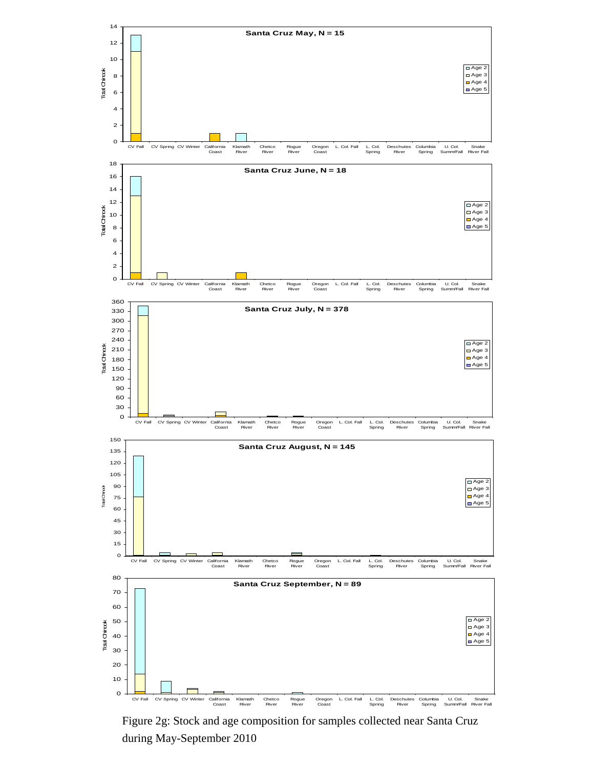

Figure 2g: Stock and age composition for samples collected near Santa Cruz during May-September 2010